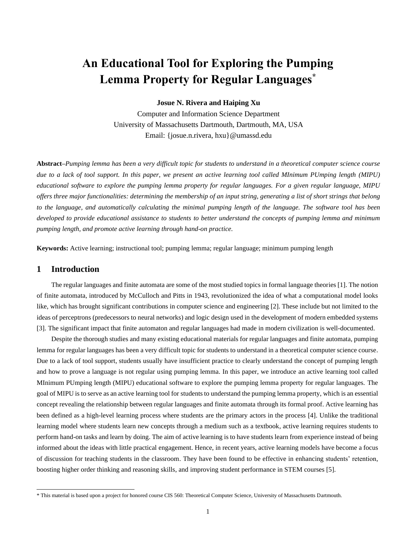# **An Educational Tool for Exploring the Pumping Lemma Property for Regular Languages\***

## **Josue N. Rivera and Haiping Xu**

Computer and Information Science Department University of Massachusetts Dartmouth, Dartmouth, MA, USA Email: {josue.n.rivera, hxu}@umassd.edu

**Abstract***–Pumping lemma has been a very difficult topic for students to understand in a theoretical computer science course due to a lack of tool support. In this paper, we present an active learning tool called MInimum PUmping length (MIPU) educational software to explore the pumping lemma property for regular languages. For a given regular language, MIPU offers three major functionalities: determining the membership of an input string, generating a list of short strings that belong to the language, and automatically calculating the minimal pumping length of the language. The software tool has been developed to provide educational assistance to students to better understand the concepts of pumping lemma and minimum pumping length, and promote active learning through hand-on practice.*

**Keywords:** Active learning; instructional tool; pumping lemma; regular language; minimum pumping length

# **1 Introduction**

The regular languages and finite automata are some of the most studied topics in formal language theories [1]. The notion of finite automata, introduced by McCulloch and Pitts in 1943, revolutionized the idea of what a computational model looks like, which has brought significant contributions in computer science and engineering [2]. These include but not limited to the ideas of perceptrons (predecessors to neural networks) and logic design used in the development of modern embedded systems [3]. The significant impact that finite automaton and regular languages had made in modern civilization is well-documented.

Despite the thorough studies and many existing educational materials for regular languages and finite automata, pumping lemma for regular languages has been a very difficult topic for students to understand in a theoretical computer science course. Due to a lack of tool support, students usually have insufficient practice to clearly understand the concept of pumping length and how to prove a language is not regular using pumping lemma. In this paper, we introduce an active learning tool called MInimum PUmping length (MIPU) educational software to explore the pumping lemma property for regular languages. The goal of MIPU is to serve as an active learning tool for students to understand the pumping lemma property, which is an essential concept revealing the relationship between regular languages and finite automata through its formal proof. Active learning has been defined as a high-level learning process where students are the primary actors in the process [4]. Unlike the traditional learning model where students learn new concepts through a medium such as a textbook, active learning requires students to perform hand-on tasks and learn by doing. The aim of active learning is to have students learn from experience instead of being informed about the ideas with little practical engagement. Hence, in recent years, active learning models have become a focus of discussion for teaching students in the classroom. They have been found to be effective in enhancing students' retention, boosting higher order thinking and reasoning skills, and improving student performance in STEM courses [5].

<sup>\*</sup> This material is based upon a project for honored course CIS 560: Theoretical Computer Science, University of Massachusetts Dartmouth.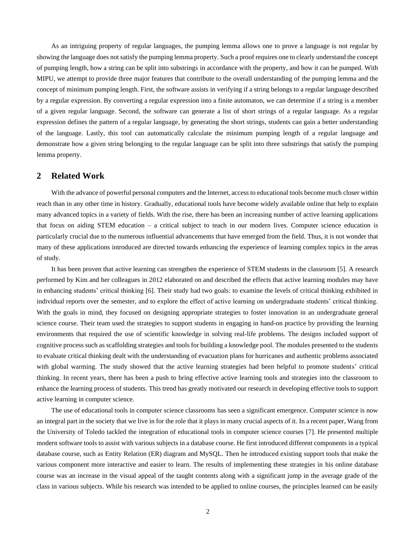As an intriguing property of regular languages, the pumping lemma allows one to prove a language is not regular by showing the language does notsatisfy the pumping lemma property. Such a proof requires one to clearly understand the concept of pumping length, how a string can be split into substrings in accordance with the property, and how it can be pumped. With MIPU, we attempt to provide three major features that contribute to the overall understanding of the pumping lemma and the concept of minimum pumping length. First, the software assists in verifying if a string belongs to a regular language described by a regular expression. By converting a regular expression into a finite automaton, we can determine if a string is a member of a given regular language. Second, the software can generate a list of short strings of a regular language. As a regular expression defines the pattern of a regular language, by generating the short strings, students can gain a better understanding of the language. Lastly, this tool can automatically calculate the minimum pumping length of a regular language and demonstrate how a given string belonging to the regular language can be split into three substrings that satisfy the pumping lemma property.

# **2 Related Work**

With the advance of powerful personal computers and the Internet, access to educational tools become much closer within reach than in any other time in history. Gradually, educational tools have become widely available online that help to explain many advanced topics in a variety of fields. With the rise, there has been an increasing number of active learning applications that focus on aiding STEM education – a critical subject to teach in our modern lives. Computer science education is particularly crucial due to the numerous influential advancements that have emerged from the field. Thus, it is not wonder that many of these applications introduced are directed towards enhancing the experience of learning complex topics in the areas of study.

It has been proven that active learning can strengthen the experience of STEM students in the classroom [5]. A research performed by Kim and her colleagues in 2012 elaborated on and described the effects that active learning modules may have in enhancing students' critical thinking [6]. Their study had two goals: to examine the levels of critical thinking exhibited in individual reports over the semester, and to explore the effect of active learning on undergraduate students' critical thinking. With the goals in mind, they focused on designing appropriate strategies to foster innovation in an undergraduate general science course. Their team used the strategies to support students in engaging in hand-on practice by providing the learning environments that required the use of scientific knowledge in solving real-life problems. The designs included support of cognitive process such as scaffolding strategies and tools for building a knowledge pool. The modules presented to the students to evaluate critical thinking dealt with the understanding of evacuation plans for hurricanes and authentic problems associated with global warming. The study showed that the active learning strategies had been helpful to promote students' critical thinking. In recent years, there has been a push to bring effective active learning tools and strategies into the classroom to enhance the learning process of students. This trend has greatly motivated our research in developing effective tools to support active learning in computer science.

The use of educational tools in computer science classrooms has seen a significant emergence. Computer science is now an integral part in the society that we live in for the role that it plays in many crucial aspects of it. In a recent paper, Wang from the University of Toledo tackled the integration of educational tools in computer science courses [7]. He presented multiple modern software tools to assist with various subjects in a database course. He first introduced different components in a typical database course, such as Entity Relation (ER) diagram and MySQL. Then he introduced existing support tools that make the various component more interactive and easier to learn. The results of implementing these strategies in his online database course was an increase in the visual appeal of the taught contents along with a significant jump in the average grade of the class in various subjects. While his research was intended to be applied to online courses, the principles learned can be easily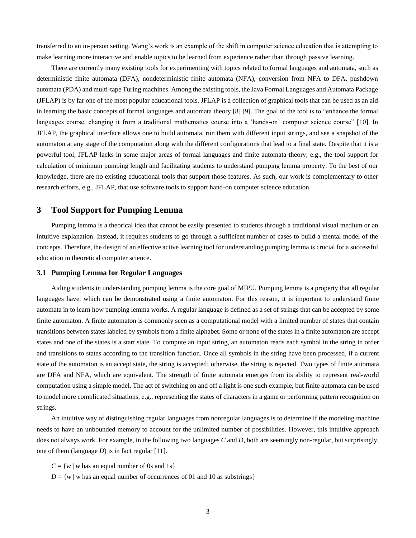transferred to an in-person setting. Wang's work is an example of the shift in computer science education that is attempting to make learning more interactive and enable topics to be learned from experience rather than through passive learning.

There are currently many existing tools for experimenting with topics related to formal languages and automata, such as deterministic finite automata (DFA), nondeterministic finite automata (NFA), conversion from NFA to DFA, pushdown automata (PDA) and multi-tape Turing machines. Among the existing tools, the Java Formal Languages and Automata Package (JFLAP) is by far one of the most popular educational tools. JFLAP is a collection of graphical tools that can be used as an aid in learning the basic concepts of formal languages and automata theory [8] [9]. The goal of the tool is to "enhance the formal languages course, changing it from a traditional mathematics course into a 'hands-on' computer science course" [10]. In JFLAP, the graphical interface allows one to build automata, run them with different input strings, and see a snapshot of the automaton at any stage of the computation along with the different configurations that lead to a final state. Despite that it is a powerful tool, JFLAP lacks in some major areas of formal languages and finite automata theory, e.g., the tool support for calculation of minimum pumping length and facilitating students to understand pumping lemma property. To the best of our knowledge, there are no existing educational tools that support those features. As such, our work is complementary to other research efforts, e.g., JFLAP, that use software tools to support hand-on computer science education.

# **3 Tool Support for Pumping Lemma**

Pumping lemma is a theorical idea that cannot be easily presented to students through a traditional visual medium or an intuitive explanation. Instead, it requires students to go through a sufficient number of cases to build a mental model of the concepts. Therefore, the design of an effective active learning tool for understanding pumping lemma is crucial for a successful education in theoretical computer science.

## **3.1 Pumping Lemma for Regular Languages**

Aiding students in understanding pumping lemma is the core goal of MIPU. Pumping lemma is a property that all regular languages have, which can be demonstrated using a finite automaton. For this reason, it is important to understand finite automata in to learn how pumping lemma works. A regular language is defined as a set of strings that can be accepted by some finite automaton. A finite automaton is commonly seen as a computational model with a limited number of states that contain transitions between states labeled by symbols from a finite alphabet. Some or none of the states in a finite automaton are accept states and one of the states is a start state. To compute an input string, an automaton reads each symbol in the string in order and transitions to states according to the transition function. Once all symbols in the string have been processed, if a current state of the automaton is an accept state, the string is accepted; otherwise, the string is rejected. Two types of finite automata are DFA and NFA, which are equivalent. The strength of finite automata emerges from its ability to represent real-world computation using a simple model. The act of switching on and off a light is one such example, but finite automata can be used to model more complicated situations, e.g., representing the states of characters in a game or performing pattern recognition on strings.

An intuitive way of distinguishing regular languages from nonregular languages is to determine if the modeling machine needs to have an unbounded memory to account for the unlimited number of possibilities. However, this intuitive approach does not always work. For example, in the following two languages *C* and *D*, both are seemingly non-regular, but surprisingly, one of them (language *D*) is in fact regular [11].

 $C = \{w \mid w$  has an equal number of 0s and 1s}

 $D = \{w \mid w$  has an equal number of occurrences of 01 and 10 as substrings }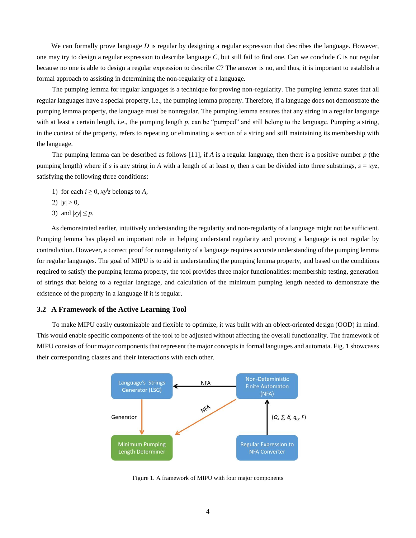We can formally prove language *D* is regular by designing a regular expression that describes the language. However, one may try to design a regular expression to describe language *C*, but still fail to find one. Can we conclude *C* is not regular because no one is able to design a regular expression to describe *C*? The answer is no, and thus, it is important to establish a formal approach to assisting in determining the non-regularity of a language.

The pumping lemma for regular languages is a technique for proving non-regularity. The pumping lemma states that all regular languages have a special property, i.e., the pumping lemma property. Therefore, if a language does not demonstrate the pumping lemma property, the language must be nonregular. The pumping lemma ensures that any string in a regular language with at least a certain length, i.e., the pumping length *p*, can be "pumped" and still belong to the language. Pumping a string, in the context of the property, refers to repeating or eliminating a section of a string and still maintaining its membership with the language.

The pumping lemma can be described as follows [11], if *A* is a regular language, then there is a positive number *p* (the pumping length) where if *s* is any string in *A* with a length of at least *p*, then *s* can be divided into three substrings,  $s = xyz$ , satisfying the following three conditions:

- 1) for each  $i \geq 0$ ,  $xy^i z$  belongs to *A*,
- 2)  $|y| > 0$ ,
- 3) and  $|xy| \leq p$ .

As demonstrated earlier, intuitively understanding the regularity and non-regularity of a language might not be sufficient. Pumping lemma has played an important role in helping understand regularity and proving a language is not regular by contradiction. However, a correct proof for nonregularity of a language requires accurate understanding of the pumping lemma for regular languages. The goal of MIPU is to aid in understanding the pumping lemma property, and based on the conditions required to satisfy the pumping lemma property, the tool provides three major functionalities: membership testing, generation of strings that belong to a regular language, and calculation of the minimum pumping length needed to demonstrate the existence of the property in a language if it is regular.

#### **3.2 A Framework of the Active Learning Tool**

To make MIPU easily customizable and flexible to optimize, it was built with an object-oriented design (OOD) in mind. This would enable specific components of the tool to be adjusted without affecting the overall functionality. The framework of MIPU consists of four major components that represent the major concepts in formal languages and automata. Fig. 1 showcases their corresponding classes and their interactions with each other.



Figure 1. A framework of MIPU with four major components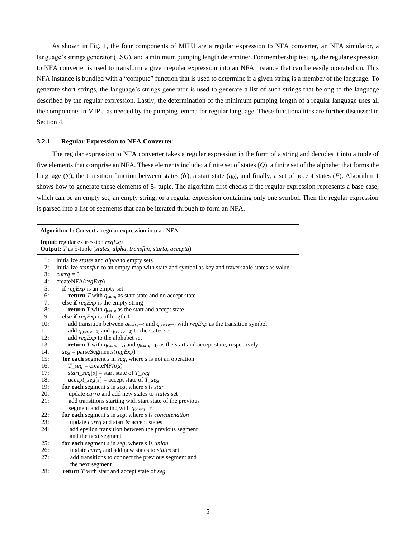As shown in Fig. 1, the four components of MIPU are a regular expression to NFA converter, an NFA simulator, a language's strings generator (LSG), and a minimum pumping length determiner. For membership testing, the regular expression to NFA converter is used to transform a given regular expression into an NFA instance that can be easily operated on. This NFA instance is bundled with a "compute" function that is used to determine if a given string is a member of the language. To generate short strings, the language's strings generator is used to generate a list of such strings that belong to the language described by the regular expression. Lastly, the determination of the minimum pumping length of a regular language uses all the components in MIPU as needed by the pumping lemma for regular language. These functionalities are further discussed in Section 4.

#### **3.2.1 Regular Expression to NFA Converter**

The regular expression to NFA converter takes a regular expression in the form of a string and decodes it into a tuple of five elements that comprise an NFA. These elements include: a finite set of states (*Q*), a finite set of the alphabet that forms the language ( $\Sigma$ ), the transition function between states ( $\delta$ ), a start state ( $q_0$ ), and finally, a set of accept states ( $F$ ). Algorithm 1 shows how to generate these elements of 5- tuple. The algorithm first checks if the regular expression represents a base case, which can be an empty set, an empty string, or a regular expression containing only one symbol. Then the regular expression is parsed into a list of segments that can be iterated through to form an NFA.

|          | Algorithm 1: Convert a regular expression into an NFA                                                                  |  |  |  |
|----------|------------------------------------------------------------------------------------------------------------------------|--|--|--|
|          | <b>Input:</b> regular expression regExp<br>Output: T as 5-tuple (states, alpha, transfun, startq, acceptq)             |  |  |  |
| 1:       | initialize <i>states</i> and <i>alpha</i> to empty sets                                                                |  |  |  |
| 2:<br>3: | initialize <i>transfun</i> to an empty map with state and symbol as key and traversable states as value                |  |  |  |
| 4:       | $currq = 0$<br>createNFA( <i>regExp</i> )                                                                              |  |  |  |
| 5:       | <b>if</b> regExp is an empty set                                                                                       |  |  |  |
| 6:       | <b>return</b> $T$ with $q_{\text{currq}}$ as start state and no accept state                                           |  |  |  |
| 7:       | else if $regExp$ is the empty string                                                                                   |  |  |  |
| 8:       | <b>return</b> $T$ with $q_{\text{currq}}$ as the start and accept state                                                |  |  |  |
| 9:       | else if $regExp$ is of length 1                                                                                        |  |  |  |
| 10:      | add transition between $q_{\text{(currq++)}}$ and $q_{\text{(currq++)}}$ with $regExp$ as the transition symbol        |  |  |  |
| 11:      | add $q_{\text{(currq - 1)}}$ and $q_{\text{(currq - 2)}}$ to the states set                                            |  |  |  |
| 12:      | add regExp to the alphabet set                                                                                         |  |  |  |
| 13:      | <b>return</b> T with $q_{\text{(currq - 2)}}$ and $q_{\text{(currq - 1)}}$ as the start and accept state, respectively |  |  |  |
| 14:      | $seg = parseSegment(regExp)$                                                                                           |  |  |  |
| 15:      | for each segment $s$ in $seg$ , where $s$ is not an operation                                                          |  |  |  |
| 16:      | $T_{seg} = \text{createNFA}(s)$                                                                                        |  |  |  |
| 17:      | <i>start_seg</i> [s] = start state of $T\_seg$                                                                         |  |  |  |
| 18:      | $accept\_seg[s] = accept state of T\_seg$                                                                              |  |  |  |
| 19:      | for each segment $s$ in $seg$ , where $s$ is $star$                                                                    |  |  |  |
| 20:      | update currq and add new states to states set                                                                          |  |  |  |
| 21:      | add transitions starting with start state of the previous                                                              |  |  |  |
|          | segment and ending with $q_{\text{(currq + 2)}}$                                                                       |  |  |  |
| 22:      | for each segment $s$ in $seg$ , where $s$ is <i>concatenation</i>                                                      |  |  |  |
| 23:      | update currq and start & accept states                                                                                 |  |  |  |
| 24:      | add epsilon transition between the previous segment<br>and the next segment                                            |  |  |  |
| 25:      | for each segment $s$ in $seg$ , where $s$ is <i>union</i>                                                              |  |  |  |
| 26:      | update currq and add new states to states set                                                                          |  |  |  |
| 27:      | add transitions to connect the previous segment and                                                                    |  |  |  |
|          | the next segment                                                                                                       |  |  |  |
| 28:      | <b>return</b> $T$ with start and accept state of $seg$                                                                 |  |  |  |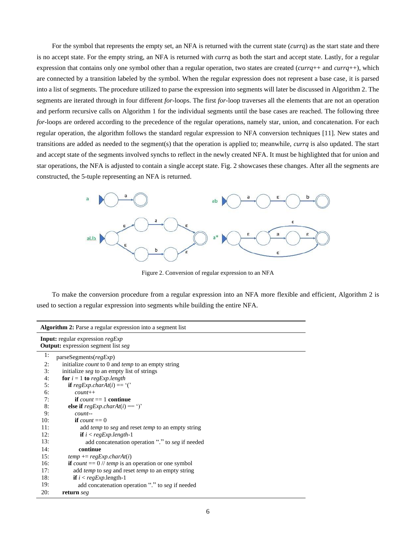For the symbol that represents the empty set, an NFA is returned with the current state (*currq*) as the start state and there is no accept state. For the empty string, an NFA is returned with *currq* as both the start and accept state. Lastly, for a regular expression that contains only one symbol other than a regular operation, two states are created (*currq*++ and *currq*++), which are connected by a transition labeled by the symbol. When the regular expression does not represent a base case, it is parsed into a list of segments. The procedure utilized to parse the expression into segments will later be discussed in Algorithm 2. The segments are iterated through in four different *for*-loops. The first *for*-loop traverses all the elements that are not an operation and perform recursive calls on Algorithm 1 for the individual segments until the base cases are reached. The following three *for*-loops are ordered according to the precedence of the regular operations, namely star, union, and concatenation. For each regular operation, the algorithm follows the standard regular expression to NFA conversion techniques [11]. New states and transitions are added as needed to the segment(s) that the operation is applied to; meanwhile, *currq* is also updated. The start and accept state of the segments involved synchs to reflect in the newly created NFA. It must be highlighted that for union and star operations, the NFA is adjusted to contain a single accept state. Fig. 2 showcases these changes. After all the segments are constructed, the 5-tuple representing an NFA is returned.



Figure 2. Conversion of regular expression to an NFA

To make the conversion procedure from a regular expression into an NFA more flexible and efficient, Algorithm 2 is used to section a regular expression into segments while building the entire NFA.

| <b>Algorithm 2:</b> Parse a regular expression into a segment list                    |  |  |
|---------------------------------------------------------------------------------------|--|--|
| <b>Input:</b> regular expression regExp<br><b>Output:</b> expression segment list seg |  |  |
| 1:<br>parseSegments( <i>regExp</i> )                                                  |  |  |
| 2:<br>initialize <i>count</i> to 0 and <i>temp</i> to an empty string                 |  |  |
| initialize <i>seg</i> to an empty list of strings<br>3:                               |  |  |
| 4:<br>for $i = 1$ to regExp.length                                                    |  |  |
| <b>if</b> regExp.charAt(i) == '('<br>5:                                               |  |  |
| 6:<br>$count++$                                                                       |  |  |
| if <i>count</i> $== 1$ <b>continue</b><br>7:                                          |  |  |
| 8:<br>else if $regExp.charAt(i) == '$                                                 |  |  |
| 9:<br>$count-$                                                                        |  |  |
| 10:<br>if count $== 0$                                                                |  |  |
| 11:<br>add <i>temp</i> to seg and reset <i>temp</i> to an empty string                |  |  |
| 12:<br><b>if</b> $i < \text{regExp.length-1}$                                         |  |  |
| 13:<br>add concatenation operation "." to seg if needed                               |  |  |
| continue<br>14:                                                                       |  |  |
| 15:<br>$temp \vcentcolon= regExp.charAt(i)$                                           |  |  |
| if <i>count</i> = $0$ // <i>temp</i> is an operation or one symbol<br>16:             |  |  |
| add <i>temp</i> to seg and reset <i>temp</i> to an empty string<br>17:                |  |  |
| 18:<br><b>if</b> $i < \text{regExp.length-1}$                                         |  |  |
| 19:<br>add concatenation operation "." to seg if needed                               |  |  |
| 20:<br>return seg                                                                     |  |  |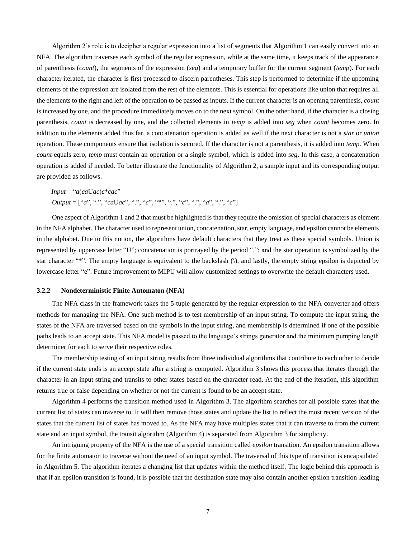Algorithm 2's role is to decipher a regular expression into a list of segments that Algorithm 1 can easily convert into an NFA. The algorithm traverses each symbol of the regular expression, while at the same time, it keeps track of the appearance of parenthesis (*count*), the segments of the expression (*seg*) and a temporary buffer for the current segment (*temp*). For each character iterated, the character is first processed to discern parentheses. This step is performed to determine if the upcoming elements of the expression are isolated from the rest of the elements. This is essential for operations like union that requires all the elements to the right and left of the operation to be passed as inputs. If the current character is an opening parenthesis, *count* is increased by one, and the procedure immediately moves on to the next symbol. On the other hand, if the character is a closing parenthesis, *count* is decreased by one, and the collected elements in *temp* is added into *seg* when *count* becomes zero. In addition to the elements added thus far, a concatenation operation is added as well if the next character is not a *star* or *union* operation. These components ensure that isolation is secured. If the character is not a parenthesis, it is added into *temp*. When *count* equals zero, *temp* must contain an operation or a single symbol, which is added into *seg*. In this case, a concatenation operation is added if needed. To better illustrate the functionality of Algorithm 2, a sample input and its corresponding output are provided as follows.

 $Input = "a(caUac)c*cac"$ *Output* = ["*a*", ".", "*ca*U*ac*", ".", "*c*", "\*", ".", "*c*", ".", "*a*", ".", "*c*"]

One aspect of Algorithm 1 and 2 that must be highlighted is that they require the omission of special characters as element in the NFA alphabet. The character used to represent union, concatenation, star, empty language, and epsilon cannot be elements in the alphabet. Due to this notion, the algorithms have default characters that they treat as these special symbols. Union is represented by uppercase letter "U"; concatenation is portrayed by the period "."; and the star operation is symbolized by the star character "\*". The empty language is equivalent to the backslash (\), and lastly, the empty string epsilon is depicted by lowercase letter "e". Future improvement to MIPU will allow customized settings to overwrite the default characters used.

#### **3.2.2 Nondeterministic Finite Automaton (NFA)**

The NFA class in the framework takes the 5-tuple generated by the regular expression to the NFA converter and offers methods for managing the NFA. One such method is to test membership of an input string. To compute the input string, the states of the NFA are traversed based on the symbols in the input string, and membership is determined if one of the possible paths leads to an accept state. This NFA model is passed to the language's strings generator and the minimum pumping length determiner for each to serve their respective roles.

The membership testing of an input string results from three individual algorithms that contribute to each other to decide if the current state ends is an accept state after a string is computed. Algorithm 3 shows this process that iterates through the character in an input string and transits to other states based on the character read. At the end of the iteration, this algorithm returns true or false depending on whether or not the current is found to be an accept state.

Algorithm 4 performs the transition method used in Algorithm 3. The algorithm searches for all possible states that the current list of states can traverse to. It will then remove those states and update the list to reflect the most recent version of the states that the current list of states has moved to. As the NFA may have multiples states that it can traverse to from the current state and an input symbol, the transit algorithm (Algorithm 4) is separated from Algorithm 3 for simplicity.

An intriguing property of the NFA is the use of a special transition called *epsilon* transition. An epsilon transition allows for the finite automaton to traverse without the need of an input symbol. The traversal of this type of transition is encapsulated in Algorithm 5. The algorithm iterates a changing list that updates within the method itself. The logic behind this approach is that if an epsilon transition is found, it is possible that the destination state may also contain another epsilon transition leading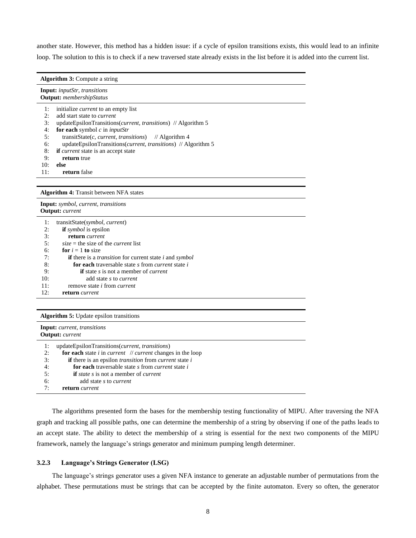another state. However, this method has a hidden issue: if a cycle of epsilon transitions exists, this would lead to an infinite loop. The solution to this is to check if a new traversed state already exists in the list before it is added into the current list.

| <b>Algorithm 3:</b> Compute a string                                          |  |  |  |
|-------------------------------------------------------------------------------|--|--|--|
| <b>Input:</b> <i>inputStr, transitions</i><br><b>Output:</b> membershipStatus |  |  |  |
| 1:<br>initialize <i>current</i> to an empty list                              |  |  |  |
| 2:<br>add start state to <i>current</i>                                       |  |  |  |
| 3:<br>updateEpsilonTransitions(current, transitions) // Algorithm 5           |  |  |  |
| for each symbol $c$ in <i>inputStr</i><br>4:                                  |  |  |  |
| 5:<br>transitState(c, current, transitions) // Algorithm 4                    |  |  |  |
| updateEpsilonTransitions( <i>current, transitions</i> ) // Algorithm 5<br>6:  |  |  |  |
| if <i>current</i> state is an accept state<br>8:                              |  |  |  |
| 9:<br>return true                                                             |  |  |  |
| 10:<br>else                                                                   |  |  |  |
| 11:<br>return false                                                           |  |  |  |
|                                                                               |  |  |  |
| <b>Algorithm 4: Transit between NFA states</b>                                |  |  |  |
| Input: symbol, current, transitions<br><b>Output:</b> current                 |  |  |  |
| 1:<br>transitState(symbol, current)                                           |  |  |  |
| <b>if</b> <i>symbol</i> is epsilon<br>2:                                      |  |  |  |
| 3:<br>return current                                                          |  |  |  |
| 5:<br>$size =$ the size of the <i>current</i> list                            |  |  |  |
| for $i = 1$ to size<br>6:                                                     |  |  |  |
|                                                                               |  |  |  |

| 1:  | transitState(symbol, current)                                                       |
|-----|-------------------------------------------------------------------------------------|
| 2:  | <b>if</b> <i>symbol</i> is epsilon                                                  |
| 3:  | return current                                                                      |
| 5:  | $size =$ the size of the <i>current</i> list                                        |
| 6:  | for $i = 1$ to size                                                                 |
| 7:  | <b>if</b> there is a <i>transition</i> for current state <i>i</i> and <i>symbol</i> |
| 8:  | <b>for each</b> traversable state s from <i>current</i> state <i>i</i>              |
| 9:  | <b>if</b> state s is not a member of <i>current</i>                                 |
| 10: | add state s to <i>current</i>                                                       |
| 11: | remove state <i>i</i> from <i>current</i>                                           |
| 12: | return <i>current</i>                                                               |
|     |                                                                                     |

#### **Algorithm 5:** Update epsilon transitions

| <b>Input:</b> <i>current, transitions</i><br><b>Output:</b> current |                                                                                    |  |  |
|---------------------------------------------------------------------|------------------------------------------------------------------------------------|--|--|
| 1:                                                                  | updateEpsilonTransitions( <i>current, transitions</i> )                            |  |  |
| 2:                                                                  | for each state $i$ in <i>current <math>\#</math> current</i> changes in the loop   |  |  |
| 3:                                                                  | <b>if</b> there is an epsilon <i>transition</i> from <i>current</i> state <i>i</i> |  |  |
| 4:                                                                  | for each traversable state s from <i>current</i> state i                           |  |  |
| 5:                                                                  | <b>if</b> <i>state s</i> is not a member of <i>current</i>                         |  |  |
| 6:                                                                  | add state s to <i>current</i>                                                      |  |  |
| 7:                                                                  | return <i>current</i>                                                              |  |  |

The algorithms presented form the bases for the membership testing functionality of MIPU. After traversing the NFA graph and tracking all possible paths, one can determine the membership of a string by observing if one of the paths leads to an accept state. The ability to detect the membership of a string is essential for the next two components of the MIPU framework, namely the language's strings generator and minimum pumping length determiner.

## **3.2.3 Language's Strings Generator (LSG)**

The language's strings generator uses a given NFA instance to generate an adjustable number of permutations from the alphabet. These permutations must be strings that can be accepted by the finite automaton. Every so often, the generator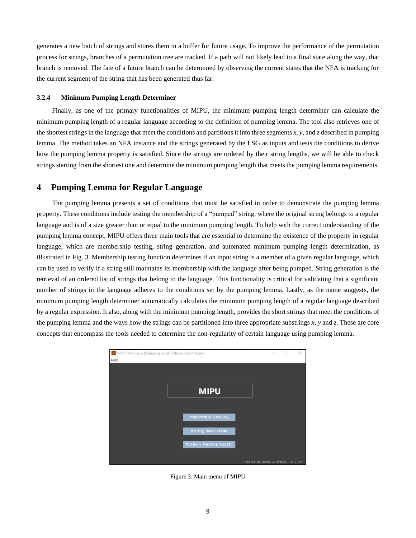generates a new batch of strings and stores them in a buffer for future usage. To improve the performance of the permutation process for strings, branches of a permutation tree are tracked. If a path will not likely lead to a final state along the way, that branch is removed. The fate of a future branch can be determined by observing the current states that the NFA is tracking for the current segment of the string that has been generated thus far.

#### **3.2.4 Minimum Pumping Length Determiner**

Finally, as one of the primary functionalities of MIPU, the minimum pumping length determiner can calculate the minimum pumping length of a regular language according to the definition of pumping lemma. The tool also retrieves one of the shortest strings in the language that meet the conditions and partitions it into three segments *x*, *y*, and *z* described in pumping lemma. The method takes an NFA instance and the strings generated by the LSG as inputs and tests the conditions to derive how the pumping lemma property is satisfied. Since the strings are ordered by their string lengths, we will be able to check strings starting from the shortest one and determine the minimum pumping length that meets the pumping lemma requirements.

## **4 Pumping Lemma for Regular Language**

The pumping lemma presents a set of conditions that must be satisfied in order to demonstrate the pumping lemma property. These conditions include testing the membership of a "pumped" string, where the original string belongs to a regular language and is of a size greater than or equal to the minimum pumping length. To help with the correct understanding of the pumping lemma concept, MIPU offers three main tools that are essential to determine the existence of the property in regular language, which are membership testing, string generation, and automated minimum pumping length determination, as illustrated in Fig. 3. Membership testing function determines if an input string is a member of a given regular language, which can be used to verify if a string still maintains its membership with the language after being pumped. String generation is the retrieval of an ordered list of strings that belong to the language. This functionality is critical for validating that a significant number of strings in the language adheres to the conditions set by the pumping lemma. Lastly, as the name suggests, the minimum pumping length determiner automatically calculates the minimum pumping length of a regular language described by a regular expression. It also, along with the minimum pumping length, provides the short strings that meet the conditions of the pumping lemma and the ways how the strings can be partitioned into three appropriate substrings *x*, *y* and *z*. These are core concepts that encompass the tools needed to determine the non-regularity of certain language using pumping lemma.



Figure 3. Main menu of MIPU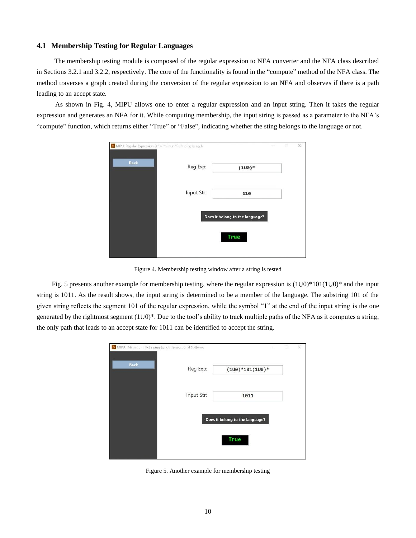## **4.1 Membership Testing for Regular Languages**

The membership testing module is composed of the regular expression to NFA converter and the NFA class described in Sections 3.2.1 and 3.2.2, respectively. The core of the functionality is found in the "compute" method of the NFA class. The method traverses a graph created during the conversion of the regular expression to an NFA and observes if there is a path leading to an accept state.

As shown in Fig. 4, MIPU allows one to enter a regular expression and an input string. Then it takes the regular expression and generates an NFA for it. While computing membership, the input string is passed as a parameter to the NFA's "compute" function, which returns either "True" or "False", indicating whether the sting belongs to the language or not.

| AL MIPU: Regular Expression & "Mi"nimun "Pu"mping Length |            |                                 | X. |
|----------------------------------------------------------|------------|---------------------------------|----|
| Back                                                     | Reg Exp:   | $(100)*$                        |    |
|                                                          | Input Str: | 110                             |    |
|                                                          |            | Does it belong to the language? |    |
|                                                          |            | <b>True</b>                     |    |
|                                                          |            |                                 |    |

Figure 4. Membership testing window after a string is tested

Fig. 5 presents another example for membership testing, where the regular expression is  $(1\cup 0)^*101(1\cup 0)^*$  and the input string is 1011. As the result shows, the input string is determined to be a member of the language. The substring 101 of the given string reflects the segment 101 of the regular expression, while the symbol "1" at the end of the input string is the one generated by the rightmost segment  $(1\cup 0)^*$ . Due to the tool's ability to track multiple paths of the NFA as it computes a string, the only path that leads to an accept state for 1011 can be identified to accept the string.



Figure 5. Another example for membership testing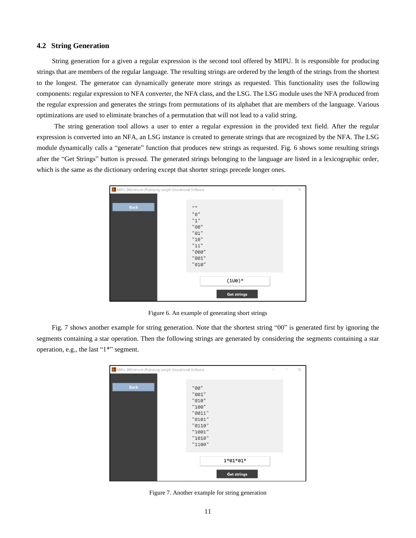## **4.2 String Generation**

String generation for a given a regular expression is the second tool offered by MIPU. It is responsible for producing strings that are members of the regular language. The resulting strings are ordered by the length of the strings from the shortest to the longest. The generator can dynamically generate more strings as requested. This functionality uses the following components: regular expression to NFA converter, the NFA class, and the LSG. The LSG module uses the NFA produced from the regular expression and generates the strings from permutations of its alphabet that are members of the language. Various optimizations are used to eliminate branches of a permutation that will not lead to a valid string.

The string generation tool allows a user to enter a regular expression in the provided text field. After the regular expression is converted into an NFA, an LSG instance is created to generate strings that are recognized by the NFA. The LSG module dynamically calls a "generate" function that produces new strings as requested. Fig. 6 shows some resulting strings after the "Get Strings" button is pressed. The generated strings belonging to the language are listed in a lexicographic order, which is the same as the dictionary ordering except that shorter strings precede longer ones.

| MIPU: [Mi]nimum [Pu]mping Length Educational Software |                                                                                | $\frac{1}{2} \left( \frac{1}{2} \right) \left( \frac{1}{2} \right) \left( \frac{1}{2} \right) \left( \frac{1}{2} \right) \left( \frac{1}{2} \right) \left( \frac{1}{2} \right) \left( \frac{1}{2} \right) \left( \frac{1}{2} \right) \left( \frac{1}{2} \right) \left( \frac{1}{2} \right) \left( \frac{1}{2} \right) \left( \frac{1}{2} \right) \left( \frac{1}{2} \right) \left( \frac{1}{2} \right) \left( \frac{1}{2} \right) \left( \frac{1}{2} \right) \left( \frac$ | 圓 | $\times$ |
|-------------------------------------------------------|--------------------------------------------------------------------------------|----------------------------------------------------------------------------------------------------------------------------------------------------------------------------------------------------------------------------------------------------------------------------------------------------------------------------------------------------------------------------------------------------------------------------------------------------------------------------|---|----------|
| <b>Back</b>                                           | 11 11<br>"0"<br>"1"<br>"00"<br>"01"<br>"10"<br>"11"<br>"000"<br>"001"<br>"010" |                                                                                                                                                                                                                                                                                                                                                                                                                                                                            |   |          |
|                                                       | $(100)*$<br><b>Get strings</b>                                                 |                                                                                                                                                                                                                                                                                                                                                                                                                                                                            |   |          |

Figure 6. An example of generating short strings

Fig. 7 shows another example for string generation. Note that the shortest string "00" is generated first by ignoring the segments containing a star operation. Then the following strings are generated by considering the segments containing a star operation, e.g., the last "1\*" segment.

| MIPU: [Mi]nimum [Pu]mping Length Educational Software |                                                                                             | $\overline{\phantom{a}}$ | Ð | $\times$ |
|-------------------------------------------------------|---------------------------------------------------------------------------------------------|--------------------------|---|----------|
| <b>Back</b>                                           | "00"<br>"001"<br>"010"<br>"100"<br>"0011"<br>"0101"<br>"0110"<br>"1001"<br>"1010"<br>"1100" |                          |   |          |
|                                                       | $1*01*01*$<br><b>Get strings</b>                                                            |                          |   |          |

Figure 7. Another example for string generation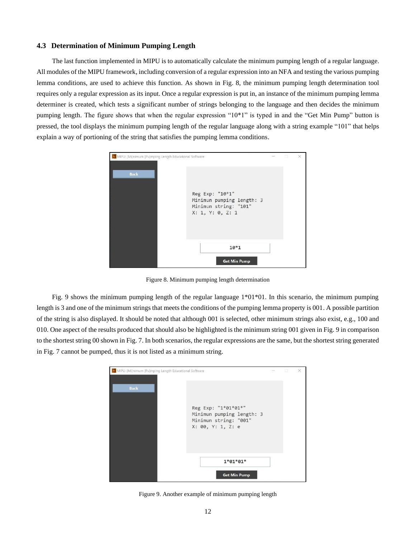## **4.3 Determination of Minimum Pumping Length**

The last function implemented in MIPU is to automatically calculate the minimum pumping length of a regular language. All modules of the MIPU framework, including conversion of a regular expression into an NFA and testing the various pumping lemma conditions, are used to achieve this function. As shown in Fig. 8, the minimum pumping length determination tool requires only a regular expression as its input. Once a regular expression is put in, an instance of the minimum pumping lemma determiner is created, which tests a significant number of strings belonging to the language and then decides the minimum pumping length. The figure shows that when the regular expression "10\*1" is typed in and the "Get Min Pump" button is pressed, the tool displays the minimum pumping length of the regular language along with a string example "101" that helps explain a way of portioning of the string that satisfies the pumping lemma conditions.



Figure 8. Minimum pumping length determination

Fig. 9 shows the minimum pumping length of the regular language 1\*01\*01. In this scenario, the minimum pumping length is 3 and one of the minimum strings that meets the conditions of the pumping lemma property is 001. A possible partition of the string is also displayed. It should be noted that although 001 is selected, other minimum strings also exist, e.g., 100 and 010. One aspect of the results produced that should also be highlighted is the minimum string 001 given in Fig. 9 in comparison to the shortest string 00 shown in Fig. 7. In both scenarios, the regular expressions are the same, but the shortest string generated in Fig. 7 cannot be pumped, thus it is not listed as a minimum string.

|                                                                                                               |  | $\times$ |
|---------------------------------------------------------------------------------------------------------------|--|----------|
| <b>Back</b><br>Reg Exp: "1*01*01*"<br>Minimun pumping length: 3<br>Minimun string: "001"<br>X: 00, Y: 1, Z: e |  |          |
| $1*01*01*$<br><b>Get Min Pump</b>                                                                             |  |          |

Figure 9. Another example of minimum pumping length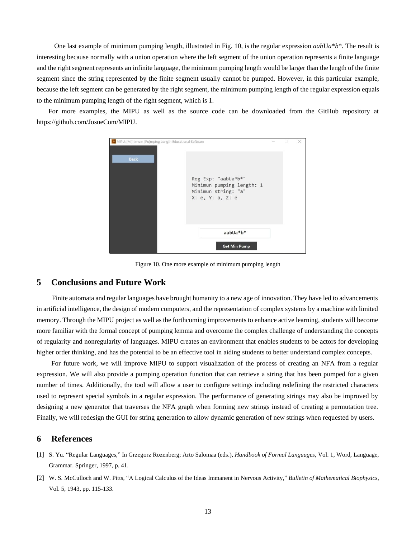One last example of minimum pumping length, illustrated in Fig. 10, is the regular expression *aab*U*a*\**b*\*. The result is interesting because normally with a union operation where the left segment of the union operation represents a finite language and the right segment represents an infinite language, the minimum pumping length would be larger than the length of the finite segment since the string represented by the finite segment usually cannot be pumped. However, in this particular example, because the left segment can be generated by the right segment, the minimum pumping length of the regular expression equals to the minimum pumping length of the right segment, which is 1.

For more examples, the MIPU as well as the source code can be downloaded from the GitHub repository at https://github.com/JosueCom/MIPU.



Figure 10. One more example of minimum pumping length

## **5 Conclusions and Future Work**

Finite automata and regular languages have brought humanity to a new age of innovation. They have led to advancements in artificial intelligence, the design of modern computers, and the representation of complex systems by a machine with limited memory. Through the MIPU project as well as the forthcoming improvements to enhance active learning, students will become more familiar with the formal concept of pumping lemma and overcome the complex challenge of understanding the concepts of regularity and nonregularity of languages. MIPU creates an environment that enables students to be actors for developing higher order thinking, and has the potential to be an effective tool in aiding students to better understand complex concepts.

For future work, we will improve MIPU to support visualization of the process of creating an NFA from a regular expression. We will also provide a pumping operation function that can retrieve a string that has been pumped for a given number of times. Additionally, the tool will allow a user to configure settings including redefining the restricted characters used to represent special symbols in a regular expression. The performance of generating strings may also be improved by designing a new generator that traverses the NFA graph when forming new strings instead of creating a permutation tree. Finally, we will redesign the GUI for string generation to allow dynamic generation of new strings when requested by users.

## **6 References**

- [1] S. Yu. "Regular Languages," In Grzegorz Rozenberg; Arto Salomaa (eds.), *Handbook of Formal Languages*, Vol. 1, Word, Language, Grammar. Springer, 1997, p. 41.
- [2] W. S. McCulloch and W. Pitts, "A Logical Calculus of the Ideas Immanent in Nervous Activity," *Bulletin of Mathematical Biophysics*, Vol. 5, 1943, pp. 115-133.